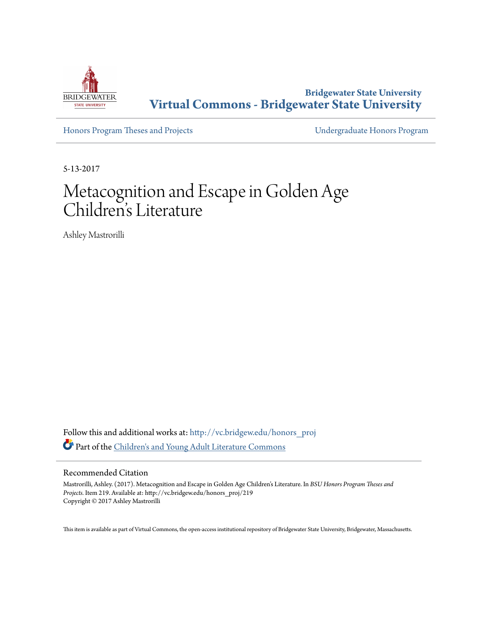

**Bridgewater State University [Virtual Commons - Bridgewater State University](http://vc.bridgew.edu?utm_source=vc.bridgew.edu%2Fhonors_proj%2F219&utm_medium=PDF&utm_campaign=PDFCoverPages)**

[Honors Program Theses and Projects](http://vc.bridgew.edu/honors_proj?utm_source=vc.bridgew.edu%2Fhonors_proj%2F219&utm_medium=PDF&utm_campaign=PDFCoverPages) [Undergraduate Honors Program](http://vc.bridgew.edu/honors?utm_source=vc.bridgew.edu%2Fhonors_proj%2F219&utm_medium=PDF&utm_campaign=PDFCoverPages)

5-13-2017

# Metacognition and Escape in Golden Age Children 's Literature

Ashley Mastrorilli

Follow this and additional works at: [http://vc.bridgew.edu/honors\\_proj](http://vc.bridgew.edu/honors_proj?utm_source=vc.bridgew.edu%2Fhonors_proj%2F219&utm_medium=PDF&utm_campaign=PDFCoverPages) Part of the [Children's and Young Adult Literature Commons](http://network.bepress.com/hgg/discipline/1289?utm_source=vc.bridgew.edu%2Fhonors_proj%2F219&utm_medium=PDF&utm_campaign=PDFCoverPages)

#### Recommended Citation

Mastrorilli, Ashley. (2017). Metacognition and Escape in Golden Age Children's Literature. In *BSU Honors Program Theses and Projects.* Item 219. Available at: http://vc.bridgew.edu/honors\_proj/219 Copyright © 2017 Ashley Mastrorilli

This item is available as part of Virtual Commons, the open-access institutional repository of Bridgewater State University, Bridgewater, Massachusetts.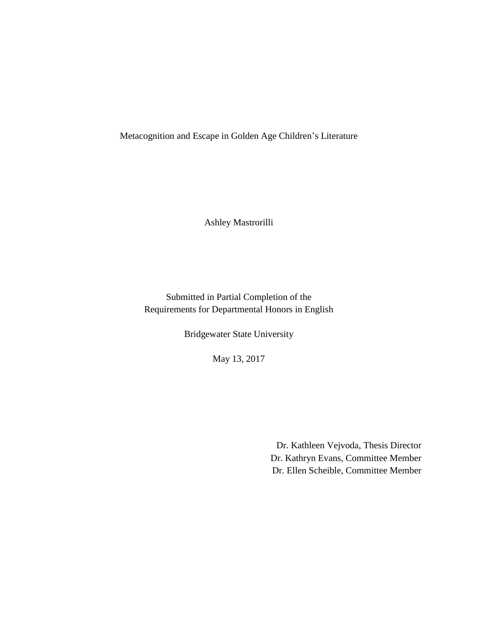Metacognition and Escape in Golden Age Children's Literature

Ashley Mastrorilli

Submitted in Partial Completion of the Requirements for Departmental Honors in English

Bridgewater State University

May 13, 2017

Dr. Kathleen Vejvoda, Thesis Director Dr. Kathryn Evans, Committee Member Dr. Ellen Scheible, Committee Member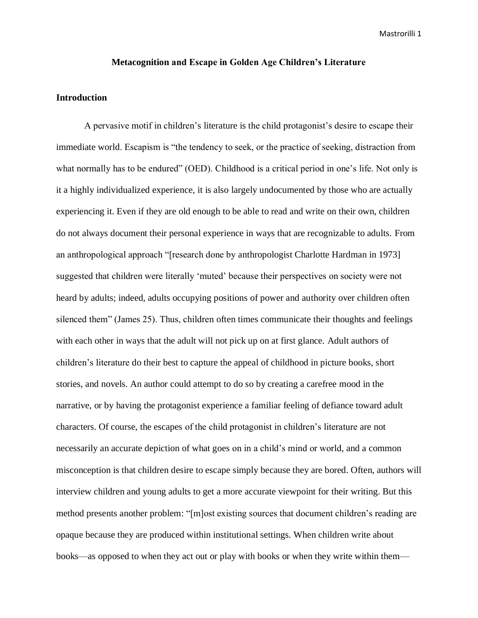# **Metacognition and Escape in Golden Age Children's Literature**

### **Introduction**

A pervasive motif in children's literature is the child protagonist's desire to escape their immediate world. Escapism is "the tendency to seek, or the practice of seeking, distraction from what normally has to be endured" (OED). Childhood is a critical period in one's life. Not only is it a highly individualized experience, it is also largely undocumented by those who are actually experiencing it. Even if they are old enough to be able to read and write on their own, children do not always document their personal experience in ways that are recognizable to adults. From an anthropological approach "[research done by anthropologist Charlotte Hardman in 1973] suggested that children were literally 'muted' because their perspectives on society were not heard by adults; indeed, adults occupying positions of power and authority over children often silenced them" (James 25). Thus, children often times communicate their thoughts and feelings with each other in ways that the adult will not pick up on at first glance. Adult authors of children's literature do their best to capture the appeal of childhood in picture books, short stories, and novels. An author could attempt to do so by creating a carefree mood in the narrative, or by having the protagonist experience a familiar feeling of defiance toward adult characters. Of course, the escapes of the child protagonist in children's literature are not necessarily an accurate depiction of what goes on in a child's mind or world, and a common misconception is that children desire to escape simply because they are bored. Often, authors will interview children and young adults to get a more accurate viewpoint for their writing. But this method presents another problem: "[m]ost existing sources that document children's reading are opaque because they are produced within institutional settings. When children write about books—as opposed to when they act out or play with books or when they write within them—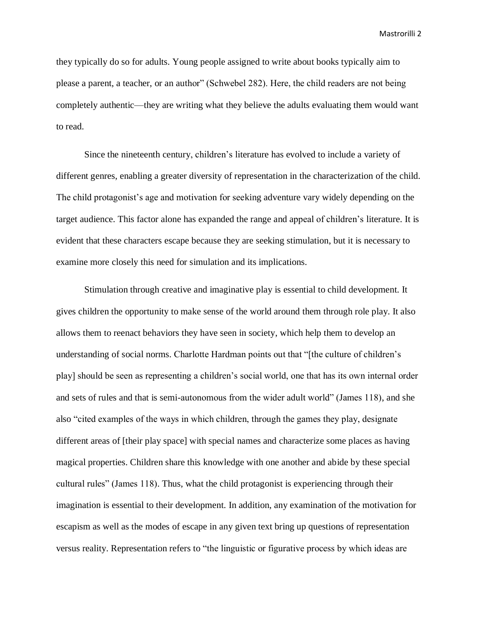they typically do so for adults. Young people assigned to write about books typically aim to please a parent, a teacher, or an author" (Schwebel 282). Here, the child readers are not being completely authentic—they are writing what they believe the adults evaluating them would want to read.

Since the nineteenth century, children's literature has evolved to include a variety of different genres, enabling a greater diversity of representation in the characterization of the child. The child protagonist's age and motivation for seeking adventure vary widely depending on the target audience. This factor alone has expanded the range and appeal of children's literature. It is evident that these characters escape because they are seeking stimulation, but it is necessary to examine more closely this need for simulation and its implications.

Stimulation through creative and imaginative play is essential to child development. It gives children the opportunity to make sense of the world around them through role play. It also allows them to reenact behaviors they have seen in society, which help them to develop an understanding of social norms. Charlotte Hardman points out that "[the culture of children's play] should be seen as representing a children's social world, one that has its own internal order and sets of rules and that is semi-autonomous from the wider adult world" (James 118), and she also "cited examples of the ways in which children, through the games they play, designate different areas of [their play space] with special names and characterize some places as having magical properties. Children share this knowledge with one another and abide by these special cultural rules" (James 118). Thus, what the child protagonist is experiencing through their imagination is essential to their development. In addition, any examination of the motivation for escapism as well as the modes of escape in any given text bring up questions of representation versus reality. Representation refers to "the linguistic or figurative process by which ideas are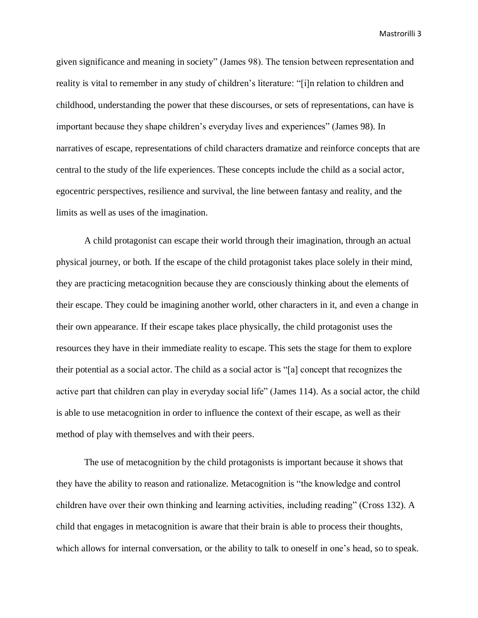given significance and meaning in society" (James 98). The tension between representation and reality is vital to remember in any study of children's literature: "[i]n relation to children and childhood, understanding the power that these discourses, or sets of representations, can have is important because they shape children's everyday lives and experiences" (James 98). In narratives of escape, representations of child characters dramatize and reinforce concepts that are central to the study of the life experiences. These concepts include the child as a social actor, egocentric perspectives, resilience and survival, the line between fantasy and reality, and the limits as well as uses of the imagination.

A child protagonist can escape their world through their imagination, through an actual physical journey, or both. If the escape of the child protagonist takes place solely in their mind, they are practicing metacognition because they are consciously thinking about the elements of their escape. They could be imagining another world, other characters in it, and even a change in their own appearance. If their escape takes place physically, the child protagonist uses the resources they have in their immediate reality to escape. This sets the stage for them to explore their potential as a social actor. The child as a social actor is "[a] concept that recognizes the active part that children can play in everyday social life" (James 114). As a social actor, the child is able to use metacognition in order to influence the context of their escape, as well as their method of play with themselves and with their peers.

The use of metacognition by the child protagonists is important because it shows that they have the ability to reason and rationalize. Metacognition is "the knowledge and control children have over their own thinking and learning activities, including reading" (Cross 132). A child that engages in metacognition is aware that their brain is able to process their thoughts, which allows for internal conversation, or the ability to talk to oneself in one's head, so to speak.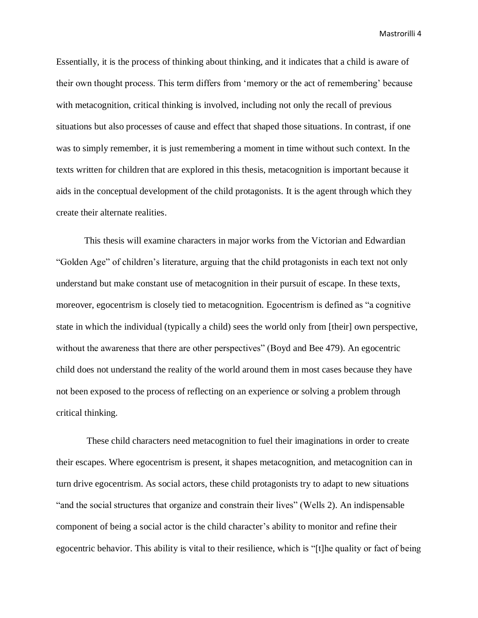Essentially, it is the process of thinking about thinking, and it indicates that a child is aware of their own thought process. This term differs from 'memory or the act of remembering' because with metacognition, critical thinking is involved, including not only the recall of previous situations but also processes of cause and effect that shaped those situations. In contrast, if one was to simply remember, it is just remembering a moment in time without such context. In the texts written for children that are explored in this thesis, metacognition is important because it aids in the conceptual development of the child protagonists. It is the agent through which they create their alternate realities.

This thesis will examine characters in major works from the Victorian and Edwardian "Golden Age" of children's literature, arguing that the child protagonists in each text not only understand but make constant use of metacognition in their pursuit of escape. In these texts, moreover, egocentrism is closely tied to metacognition. Egocentrism is defined as "a cognitive state in which the individual (typically a child) sees the world only from [their] own perspective, without the awareness that there are other perspectives" (Boyd and Bee 479). An egocentric child does not understand the reality of the world around them in most cases because they have not been exposed to the process of reflecting on an experience or solving a problem through critical thinking.

These child characters need metacognition to fuel their imaginations in order to create their escapes. Where egocentrism is present, it shapes metacognition, and metacognition can in turn drive egocentrism. As social actors, these child protagonists try to adapt to new situations "and the social structures that organize and constrain their lives" (Wells 2). An indispensable component of being a social actor is the child character's ability to monitor and refine their egocentric behavior. This ability is vital to their resilience, which is "[t]he quality or fact of being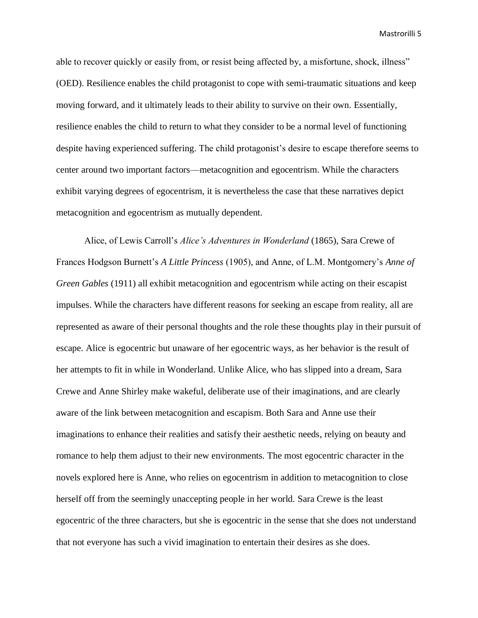able to recover quickly or easily from, or resist being affected by, a misfortune, shock, illness" (OED). Resilience enables the child protagonist to cope with semi-traumatic situations and keep moving forward, and it ultimately leads to their ability to survive on their own. Essentially, resilience enables the child to return to what they consider to be a normal level of functioning despite having experienced suffering. The child protagonist's desire to escape therefore seems to center around two important factors—metacognition and egocentrism. While the characters exhibit varying degrees of egocentrism, it is nevertheless the case that these narratives depict metacognition and egocentrism as mutually dependent.

Alice, of Lewis Carroll's *Alice's Adventures in Wonderland* (1865), Sara Crewe of Frances Hodgson Burnett's *A Little Princess* (1905), and Anne, of L.M. Montgomery's *Anne of Green Gables* (1911) all exhibit metacognition and egocentrism while acting on their escapist impulses. While the characters have different reasons for seeking an escape from reality, all are represented as aware of their personal thoughts and the role these thoughts play in their pursuit of escape. Alice is egocentric but unaware of her egocentric ways, as her behavior is the result of her attempts to fit in while in Wonderland. Unlike Alice, who has slipped into a dream, Sara Crewe and Anne Shirley make wakeful, deliberate use of their imaginations, and are clearly aware of the link between metacognition and escapism. Both Sara and Anne use their imaginations to enhance their realities and satisfy their aesthetic needs, relying on beauty and romance to help them adjust to their new environments. The most egocentric character in the novels explored here is Anne, who relies on egocentrism in addition to metacognition to close herself off from the seemingly unaccepting people in her world. Sara Crewe is the least egocentric of the three characters, but she is egocentric in the sense that she does not understand that not everyone has such a vivid imagination to entertain their desires as she does.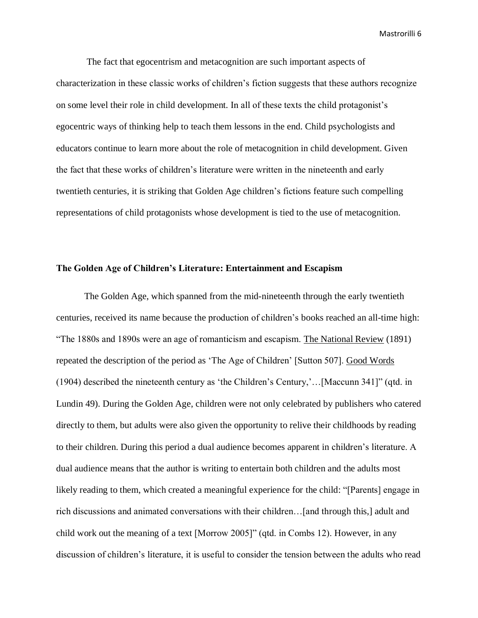The fact that egocentrism and metacognition are such important aspects of characterization in these classic works of children's fiction suggests that these authors recognize on some level their role in child development. In all of these texts the child protagonist's egocentric ways of thinking help to teach them lessons in the end. Child psychologists and educators continue to learn more about the role of metacognition in child development. Given the fact that these works of children's literature were written in the nineteenth and early twentieth centuries, it is striking that Golden Age children's fictions feature such compelling representations of child protagonists whose development is tied to the use of metacognition.

#### **The Golden Age of Children's Literature: Entertainment and Escapism**

The Golden Age, which spanned from the mid-nineteenth through the early twentieth centuries, received its name because the production of children's books reached an all-time high: "The 1880s and 1890s were an age of romanticism and escapism. The National Review (1891) repeated the description of the period as 'The Age of Children' [Sutton 507]. Good Words (1904) described the nineteenth century as 'the Children's Century,'…[Maccunn 341]" (qtd. in Lundin 49). During the Golden Age, children were not only celebrated by publishers who catered directly to them, but adults were also given the opportunity to relive their childhoods by reading to their children. During this period a dual audience becomes apparent in children's literature. A dual audience means that the author is writing to entertain both children and the adults most likely reading to them, which created a meaningful experience for the child: "[Parents] engage in rich discussions and animated conversations with their children…[and through this,] adult and child work out the meaning of a text [Morrow 2005]" (qtd. in Combs 12). However, in any discussion of children's literature, it is useful to consider the tension between the adults who read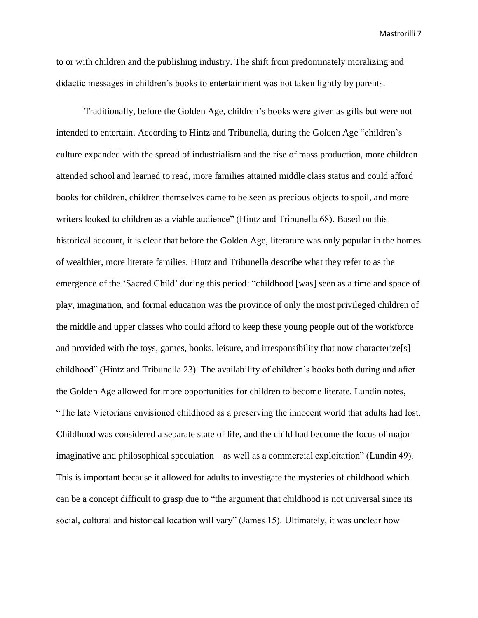to or with children and the publishing industry. The shift from predominately moralizing and didactic messages in children's books to entertainment was not taken lightly by parents.

Traditionally, before the Golden Age, children's books were given as gifts but were not intended to entertain. According to Hintz and Tribunella, during the Golden Age "children's culture expanded with the spread of industrialism and the rise of mass production, more children attended school and learned to read, more families attained middle class status and could afford books for children, children themselves came to be seen as precious objects to spoil, and more writers looked to children as a viable audience" (Hintz and Tribunella 68). Based on this historical account, it is clear that before the Golden Age, literature was only popular in the homes of wealthier, more literate families. Hintz and Tribunella describe what they refer to as the emergence of the 'Sacred Child' during this period: "childhood [was] seen as a time and space of play, imagination, and formal education was the province of only the most privileged children of the middle and upper classes who could afford to keep these young people out of the workforce and provided with the toys, games, books, leisure, and irresponsibility that now characterize[s] childhood" (Hintz and Tribunella 23). The availability of children's books both during and after the Golden Age allowed for more opportunities for children to become literate. Lundin notes, "The late Victorians envisioned childhood as a preserving the innocent world that adults had lost. Childhood was considered a separate state of life, and the child had become the focus of major imaginative and philosophical speculation—as well as a commercial exploitation" (Lundin 49). This is important because it allowed for adults to investigate the mysteries of childhood which can be a concept difficult to grasp due to "the argument that childhood is not universal since its social, cultural and historical location will vary" (James 15). Ultimately, it was unclear how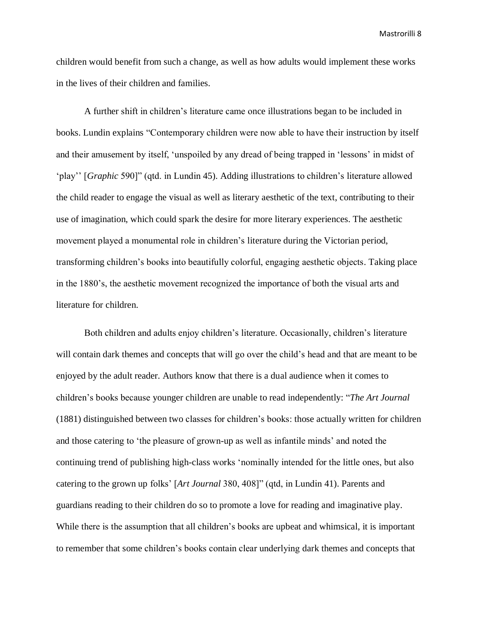children would benefit from such a change, as well as how adults would implement these works in the lives of their children and families.

A further shift in children's literature came once illustrations began to be included in books. Lundin explains "Contemporary children were now able to have their instruction by itself and their amusement by itself, 'unspoiled by any dread of being trapped in 'lessons' in midst of 'play'' [*Graphic* 590]" (qtd. in Lundin 45). Adding illustrations to children's literature allowed the child reader to engage the visual as well as literary aesthetic of the text, contributing to their use of imagination, which could spark the desire for more literary experiences. The aesthetic movement played a monumental role in children's literature during the Victorian period, transforming children's books into beautifully colorful, engaging aesthetic objects. Taking place in the 1880's, the aesthetic movement recognized the importance of both the visual arts and literature for children.

Both children and adults enjoy children's literature. Occasionally, children's literature will contain dark themes and concepts that will go over the child's head and that are meant to be enjoyed by the adult reader. Authors know that there is a dual audience when it comes to children's books because younger children are unable to read independently: "*The Art Journal* (1881) distinguished between two classes for children's books: those actually written for children and those catering to 'the pleasure of grown-up as well as infantile minds' and noted the continuing trend of publishing high-class works 'nominally intended for the little ones, but also catering to the grown up folks' [*Art Journal* 380, 408]" (qtd, in Lundin 41). Parents and guardians reading to their children do so to promote a love for reading and imaginative play. While there is the assumption that all children's books are upbeat and whimsical, it is important to remember that some children's books contain clear underlying dark themes and concepts that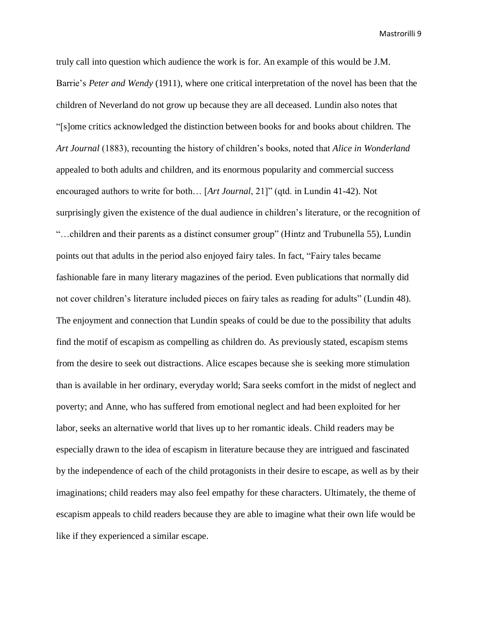truly call into question which audience the work is for. An example of this would be J.M. Barrie's *Peter and Wendy* (1911), where one critical interpretation of the novel has been that the children of Neverland do not grow up because they are all deceased. Lundin also notes that "[s]ome critics acknowledged the distinction between books for and books about children. The *Art Journal* (1883), recounting the history of children's books, noted that *Alice in Wonderland* appealed to both adults and children, and its enormous popularity and commercial success encouraged authors to write for both… [*Art Journal*, 21]" (qtd. in Lundin 41-42). Not surprisingly given the existence of the dual audience in children's literature, or the recognition of "…children and their parents as a distinct consumer group" (Hintz and Trubunella 55), Lundin points out that adults in the period also enjoyed fairy tales. In fact, "Fairy tales became fashionable fare in many literary magazines of the period. Even publications that normally did not cover children's literature included pieces on fairy tales as reading for adults" (Lundin 48). The enjoyment and connection that Lundin speaks of could be due to the possibility that adults find the motif of escapism as compelling as children do. As previously stated, escapism stems from the desire to seek out distractions. Alice escapes because she is seeking more stimulation than is available in her ordinary, everyday world; Sara seeks comfort in the midst of neglect and poverty; and Anne, who has suffered from emotional neglect and had been exploited for her labor, seeks an alternative world that lives up to her romantic ideals. Child readers may be especially drawn to the idea of escapism in literature because they are intrigued and fascinated by the independence of each of the child protagonists in their desire to escape, as well as by their imaginations; child readers may also feel empathy for these characters. Ultimately, the theme of escapism appeals to child readers because they are able to imagine what their own life would be like if they experienced a similar escape.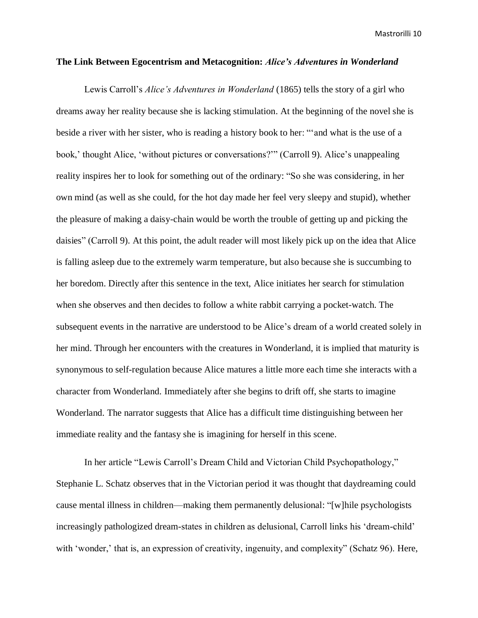### **The Link Between Egocentrism and Metacognition:** *Alice's Adventures in Wonderland*

Lewis Carroll's *Alice's Adventures in Wonderland* (1865) tells the story of a girl who dreams away her reality because she is lacking stimulation. At the beginning of the novel she is beside a river with her sister, who is reading a history book to her: "'and what is the use of a book,' thought Alice, 'without pictures or conversations?'" (Carroll 9). Alice's unappealing reality inspires her to look for something out of the ordinary: "So she was considering, in her own mind (as well as she could, for the hot day made her feel very sleepy and stupid), whether the pleasure of making a daisy-chain would be worth the trouble of getting up and picking the daisies" (Carroll 9). At this point, the adult reader will most likely pick up on the idea that Alice is falling asleep due to the extremely warm temperature, but also because she is succumbing to her boredom. Directly after this sentence in the text, Alice initiates her search for stimulation when she observes and then decides to follow a white rabbit carrying a pocket-watch. The subsequent events in the narrative are understood to be Alice's dream of a world created solely in her mind. Through her encounters with the creatures in Wonderland, it is implied that maturity is synonymous to self-regulation because Alice matures a little more each time she interacts with a character from Wonderland. Immediately after she begins to drift off, she starts to imagine Wonderland. The narrator suggests that Alice has a difficult time distinguishing between her immediate reality and the fantasy she is imagining for herself in this scene.

In her article "Lewis Carroll's Dream Child and Victorian Child Psychopathology," Stephanie L. Schatz observes that in the Victorian period it was thought that daydreaming could cause mental illness in children—making them permanently delusional: "[w]hile psychologists increasingly pathologized dream-states in children as delusional, Carroll links his 'dream-child' with 'wonder,' that is, an expression of creativity, ingenuity, and complexity" (Schatz 96). Here,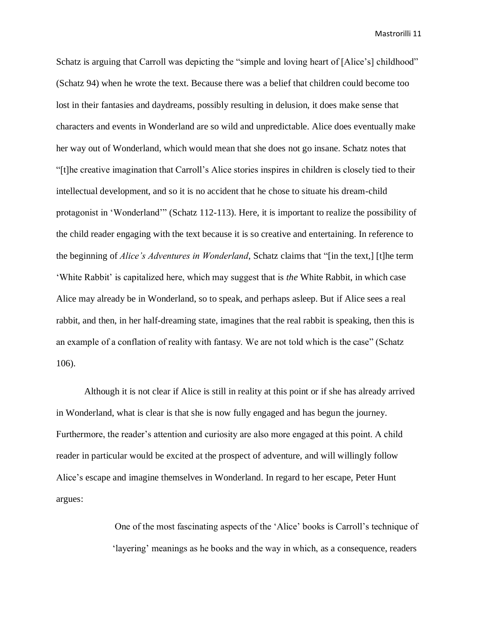Schatz is arguing that Carroll was depicting the "simple and loving heart of [Alice's] childhood" (Schatz 94) when he wrote the text. Because there was a belief that children could become too lost in their fantasies and daydreams, possibly resulting in delusion, it does make sense that characters and events in Wonderland are so wild and unpredictable. Alice does eventually make her way out of Wonderland, which would mean that she does not go insane. Schatz notes that "[t]he creative imagination that Carroll's Alice stories inspires in children is closely tied to their intellectual development, and so it is no accident that he chose to situate his dream-child protagonist in 'Wonderland'" (Schatz 112-113). Here, it is important to realize the possibility of the child reader engaging with the text because it is so creative and entertaining. In reference to the beginning of *Alice's Adventures in Wonderland*, Schatz claims that "[in the text,] [t]he term 'White Rabbit' is capitalized here, which may suggest that is *the* White Rabbit, in which case Alice may already be in Wonderland, so to speak, and perhaps asleep. But if Alice sees a real rabbit, and then, in her half-dreaming state, imagines that the real rabbit is speaking, then this is an example of a conflation of reality with fantasy. We are not told which is the case" (Schatz 106).

Although it is not clear if Alice is still in reality at this point or if she has already arrived in Wonderland, what is clear is that she is now fully engaged and has begun the journey. Furthermore, the reader's attention and curiosity are also more engaged at this point. A child reader in particular would be excited at the prospect of adventure, and will willingly follow Alice's escape and imagine themselves in Wonderland. In regard to her escape, Peter Hunt argues:

> One of the most fascinating aspects of the 'Alice' books is Carroll's technique of 'layering' meanings as he books and the way in which, as a consequence, readers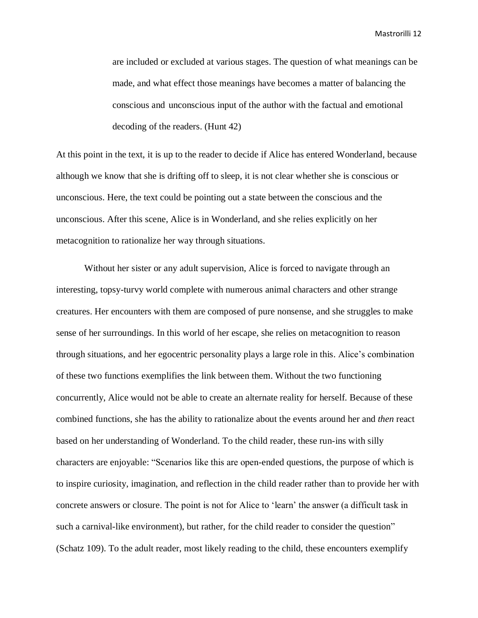are included or excluded at various stages. The question of what meanings can be made, and what effect those meanings have becomes a matter of balancing the conscious and unconscious input of the author with the factual and emotional decoding of the readers. (Hunt 42)

At this point in the text, it is up to the reader to decide if Alice has entered Wonderland, because although we know that she is drifting off to sleep, it is not clear whether she is conscious or unconscious. Here, the text could be pointing out a state between the conscious and the unconscious. After this scene, Alice is in Wonderland, and she relies explicitly on her metacognition to rationalize her way through situations.

Without her sister or any adult supervision, Alice is forced to navigate through an interesting, topsy-turvy world complete with numerous animal characters and other strange creatures. Her encounters with them are composed of pure nonsense, and she struggles to make sense of her surroundings. In this world of her escape, she relies on metacognition to reason through situations, and her egocentric personality plays a large role in this. Alice's combination of these two functions exemplifies the link between them. Without the two functioning concurrently, Alice would not be able to create an alternate reality for herself. Because of these combined functions, she has the ability to rationalize about the events around her and *then* react based on her understanding of Wonderland. To the child reader, these run-ins with silly characters are enjoyable: "Scenarios like this are open-ended questions, the purpose of which is to inspire curiosity, imagination, and reflection in the child reader rather than to provide her with concrete answers or closure. The point is not for Alice to 'learn' the answer (a difficult task in such a carnival-like environment), but rather, for the child reader to consider the question" (Schatz 109). To the adult reader, most likely reading to the child, these encounters exemplify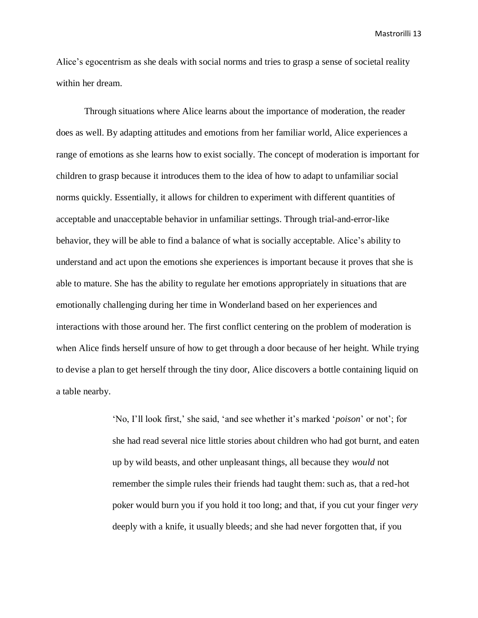Alice's egocentrism as she deals with social norms and tries to grasp a sense of societal reality within her dream.

Through situations where Alice learns about the importance of moderation, the reader does as well. By adapting attitudes and emotions from her familiar world, Alice experiences a range of emotions as she learns how to exist socially. The concept of moderation is important for children to grasp because it introduces them to the idea of how to adapt to unfamiliar social norms quickly. Essentially, it allows for children to experiment with different quantities of acceptable and unacceptable behavior in unfamiliar settings. Through trial-and-error-like behavior, they will be able to find a balance of what is socially acceptable. Alice's ability to understand and act upon the emotions she experiences is important because it proves that she is able to mature. She has the ability to regulate her emotions appropriately in situations that are emotionally challenging during her time in Wonderland based on her experiences and interactions with those around her. The first conflict centering on the problem of moderation is when Alice finds herself unsure of how to get through a door because of her height. While trying to devise a plan to get herself through the tiny door, Alice discovers a bottle containing liquid on a table nearby.

> 'No, I'll look first,' she said, 'and see whether it's marked '*poison*' or not'; for she had read several nice little stories about children who had got burnt, and eaten up by wild beasts, and other unpleasant things, all because they *would* not remember the simple rules their friends had taught them: such as, that a red-hot poker would burn you if you hold it too long; and that, if you cut your finger *very* deeply with a knife, it usually bleeds; and she had never forgotten that, if you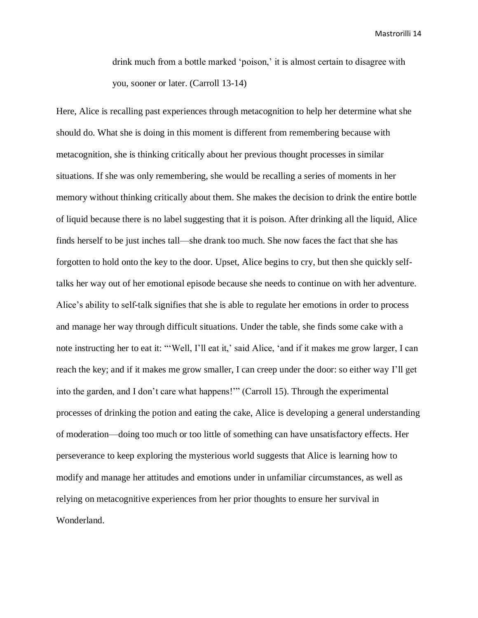drink much from a bottle marked 'poison,' it is almost certain to disagree with you, sooner or later. (Carroll 13-14)

Here, Alice is recalling past experiences through metacognition to help her determine what she should do. What she is doing in this moment is different from remembering because with metacognition, she is thinking critically about her previous thought processes in similar situations. If she was only remembering, she would be recalling a series of moments in her memory without thinking critically about them. She makes the decision to drink the entire bottle of liquid because there is no label suggesting that it is poison. After drinking all the liquid, Alice finds herself to be just inches tall—she drank too much. She now faces the fact that she has forgotten to hold onto the key to the door. Upset, Alice begins to cry, but then she quickly selftalks her way out of her emotional episode because she needs to continue on with her adventure. Alice's ability to self-talk signifies that she is able to regulate her emotions in order to process and manage her way through difficult situations. Under the table, she finds some cake with a note instructing her to eat it: "'Well, I'll eat it,' said Alice, 'and if it makes me grow larger, I can reach the key; and if it makes me grow smaller, I can creep under the door: so either way I'll get into the garden, and I don't care what happens!'" (Carroll 15). Through the experimental processes of drinking the potion and eating the cake, Alice is developing a general understanding of moderation—doing too much or too little of something can have unsatisfactory effects. Her perseverance to keep exploring the mysterious world suggests that Alice is learning how to modify and manage her attitudes and emotions under in unfamiliar circumstances, as well as relying on metacognitive experiences from her prior thoughts to ensure her survival in Wonderland.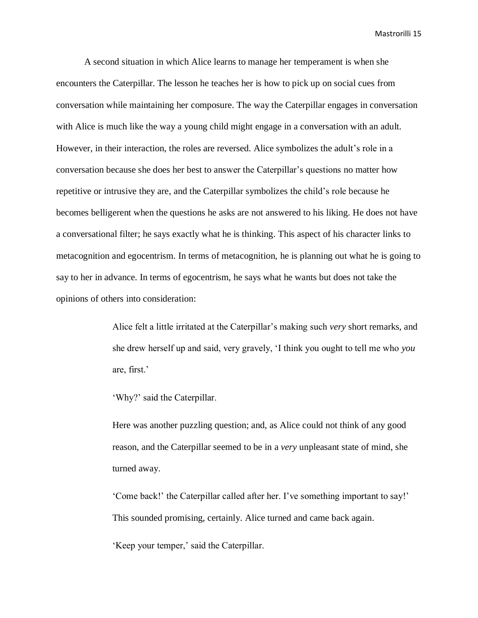A second situation in which Alice learns to manage her temperament is when she encounters the Caterpillar. The lesson he teaches her is how to pick up on social cues from conversation while maintaining her composure. The way the Caterpillar engages in conversation with Alice is much like the way a young child might engage in a conversation with an adult. However, in their interaction, the roles are reversed. Alice symbolizes the adult's role in a conversation because she does her best to answer the Caterpillar's questions no matter how repetitive or intrusive they are, and the Caterpillar symbolizes the child's role because he becomes belligerent when the questions he asks are not answered to his liking. He does not have a conversational filter; he says exactly what he is thinking. This aspect of his character links to metacognition and egocentrism. In terms of metacognition, he is planning out what he is going to say to her in advance. In terms of egocentrism, he says what he wants but does not take the opinions of others into consideration:

> Alice felt a little irritated at the Caterpillar's making such *very* short remarks, and she drew herself up and said, very gravely, 'I think you ought to tell me who *you* are, first.'

'Why?' said the Caterpillar.

Here was another puzzling question; and, as Alice could not think of any good reason, and the Caterpillar seemed to be in a *very* unpleasant state of mind, she turned away.

'Come back!' the Caterpillar called after her. I've something important to say!' This sounded promising, certainly. Alice turned and came back again.

'Keep your temper,' said the Caterpillar.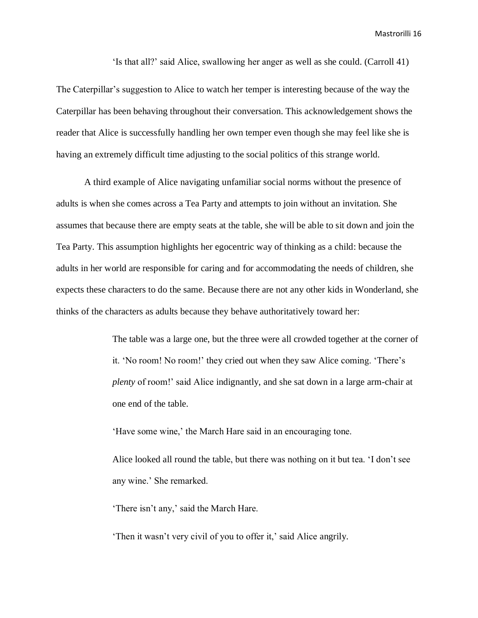'Is that all?' said Alice, swallowing her anger as well as she could. (Carroll 41)

The Caterpillar's suggestion to Alice to watch her temper is interesting because of the way the Caterpillar has been behaving throughout their conversation. This acknowledgement shows the reader that Alice is successfully handling her own temper even though she may feel like she is having an extremely difficult time adjusting to the social politics of this strange world.

A third example of Alice navigating unfamiliar social norms without the presence of adults is when she comes across a Tea Party and attempts to join without an invitation. She assumes that because there are empty seats at the table, she will be able to sit down and join the Tea Party. This assumption highlights her egocentric way of thinking as a child: because the adults in her world are responsible for caring and for accommodating the needs of children, she expects these characters to do the same. Because there are not any other kids in Wonderland, she thinks of the characters as adults because they behave authoritatively toward her:

> The table was a large one, but the three were all crowded together at the corner of it. 'No room! No room!' they cried out when they saw Alice coming. 'There's *plenty* of room!' said Alice indignantly, and she sat down in a large arm-chair at one end of the table.

'Have some wine,' the March Hare said in an encouraging tone.

Alice looked all round the table, but there was nothing on it but tea. 'I don't see any wine.' She remarked.

'There isn't any,' said the March Hare.

'Then it wasn't very civil of you to offer it,' said Alice angrily.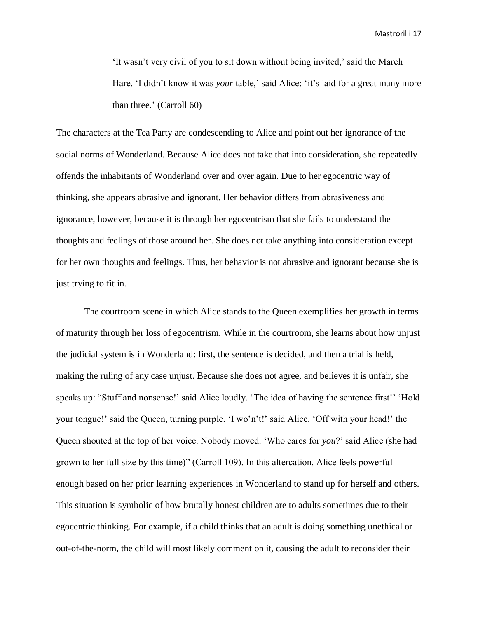'It wasn't very civil of you to sit down without being invited,' said the March Hare. 'I didn't know it was *your* table,' said Alice: 'it's laid for a great many more than three.' (Carroll 60)

The characters at the Tea Party are condescending to Alice and point out her ignorance of the social norms of Wonderland. Because Alice does not take that into consideration, she repeatedly offends the inhabitants of Wonderland over and over again. Due to her egocentric way of thinking, she appears abrasive and ignorant. Her behavior differs from abrasiveness and ignorance, however, because it is through her egocentrism that she fails to understand the thoughts and feelings of those around her. She does not take anything into consideration except for her own thoughts and feelings. Thus, her behavior is not abrasive and ignorant because she is just trying to fit in.

The courtroom scene in which Alice stands to the Queen exemplifies her growth in terms of maturity through her loss of egocentrism. While in the courtroom, she learns about how unjust the judicial system is in Wonderland: first, the sentence is decided, and then a trial is held, making the ruling of any case unjust. Because she does not agree, and believes it is unfair, she speaks up: "Stuff and nonsense!' said Alice loudly. 'The idea of having the sentence first!' 'Hold your tongue!' said the Queen, turning purple. 'I wo'n't!' said Alice. 'Off with your head!' the Queen shouted at the top of her voice. Nobody moved. 'Who cares for *you*?' said Alice (she had grown to her full size by this time)" (Carroll 109). In this altercation, Alice feels powerful enough based on her prior learning experiences in Wonderland to stand up for herself and others. This situation is symbolic of how brutally honest children are to adults sometimes due to their egocentric thinking. For example, if a child thinks that an adult is doing something unethical or out-of-the-norm, the child will most likely comment on it, causing the adult to reconsider their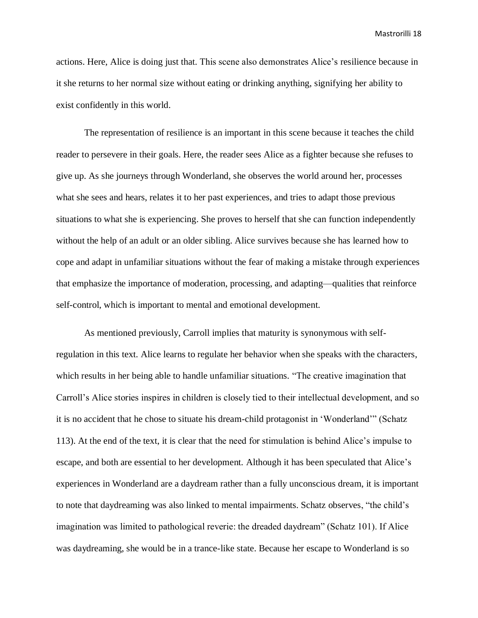actions. Here, Alice is doing just that. This scene also demonstrates Alice's resilience because in it she returns to her normal size without eating or drinking anything, signifying her ability to exist confidently in this world.

The representation of resilience is an important in this scene because it teaches the child reader to persevere in their goals. Here, the reader sees Alice as a fighter because she refuses to give up. As she journeys through Wonderland, she observes the world around her, processes what she sees and hears, relates it to her past experiences, and tries to adapt those previous situations to what she is experiencing. She proves to herself that she can function independently without the help of an adult or an older sibling. Alice survives because she has learned how to cope and adapt in unfamiliar situations without the fear of making a mistake through experiences that emphasize the importance of moderation, processing, and adapting—qualities that reinforce self-control, which is important to mental and emotional development.

As mentioned previously, Carroll implies that maturity is synonymous with selfregulation in this text. Alice learns to regulate her behavior when she speaks with the characters, which results in her being able to handle unfamiliar situations. "The creative imagination that Carroll's Alice stories inspires in children is closely tied to their intellectual development, and so it is no accident that he chose to situate his dream-child protagonist in 'Wonderland'" (Schatz 113). At the end of the text, it is clear that the need for stimulation is behind Alice's impulse to escape, and both are essential to her development. Although it has been speculated that Alice's experiences in Wonderland are a daydream rather than a fully unconscious dream, it is important to note that daydreaming was also linked to mental impairments. Schatz observes, "the child's imagination was limited to pathological reverie: the dreaded daydream" (Schatz 101). If Alice was daydreaming, she would be in a trance-like state. Because her escape to Wonderland is so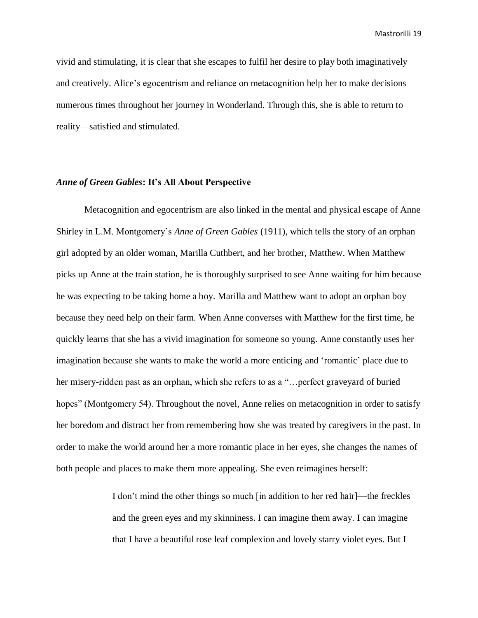vivid and stimulating, it is clear that she escapes to fulfil her desire to play both imaginatively and creatively. Alice's egocentrism and reliance on metacognition help her to make decisions numerous times throughout her journey in Wonderland. Through this, she is able to return to reality—satisfied and stimulated.

# *Anne of Green Gables***: It's All About Perspective**

Metacognition and egocentrism are also linked in the mental and physical escape of Anne Shirley in L.M. Montgomery's *Anne of Green Gables* (1911), which tells the story of an orphan girl adopted by an older woman, Marilla Cuthbert, and her brother, Matthew. When Matthew picks up Anne at the train station, he is thoroughly surprised to see Anne waiting for him because he was expecting to be taking home a boy. Marilla and Matthew want to adopt an orphan boy because they need help on their farm. When Anne converses with Matthew for the first time, he quickly learns that she has a vivid imagination for someone so young. Anne constantly uses her imagination because she wants to make the world a more enticing and 'romantic' place due to her misery-ridden past as an orphan, which she refers to as a "... perfect graveyard of buried hopes" (Montgomery 54). Throughout the novel, Anne relies on metacognition in order to satisfy her boredom and distract her from remembering how she was treated by caregivers in the past. In order to make the world around her a more romantic place in her eyes, she changes the names of both people and places to make them more appealing. She even reimagines herself:

> I don't mind the other things so much [in addition to her red hair]—the freckles and the green eyes and my skinniness. I can imagine them away. I can imagine that I have a beautiful rose leaf complexion and lovely starry violet eyes. But I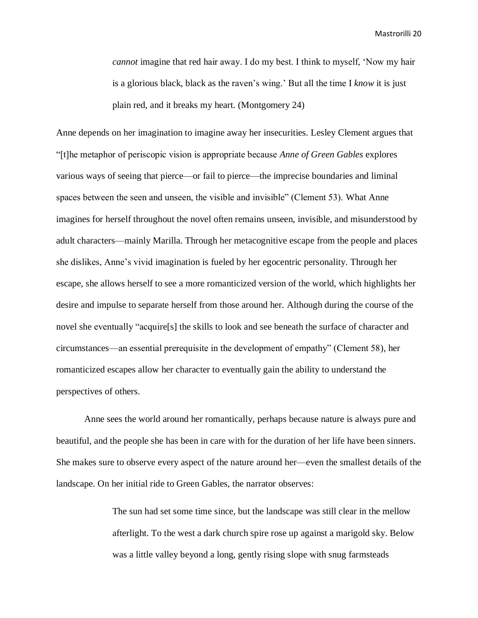*cannot* imagine that red hair away. I do my best. I think to myself, 'Now my hair is a glorious black, black as the raven's wing.' But all the time I *know* it is just plain red, and it breaks my heart. (Montgomery 24)

Anne depends on her imagination to imagine away her insecurities. Lesley Clement argues that "[t]he metaphor of periscopic vision is appropriate because *Anne of Green Gables* explores various ways of seeing that pierce—or fail to pierce—the imprecise boundaries and liminal spaces between the seen and unseen, the visible and invisible" (Clement 53). What Anne imagines for herself throughout the novel often remains unseen, invisible, and misunderstood by adult characters—mainly Marilla. Through her metacognitive escape from the people and places she dislikes, Anne's vivid imagination is fueled by her egocentric personality. Through her escape, she allows herself to see a more romanticized version of the world, which highlights her desire and impulse to separate herself from those around her. Although during the course of the novel she eventually "acquire[s] the skills to look and see beneath the surface of character and circumstances—an essential prerequisite in the development of empathy" (Clement 58), her romanticized escapes allow her character to eventually gain the ability to understand the perspectives of others.

Anne sees the world around her romantically, perhaps because nature is always pure and beautiful, and the people she has been in care with for the duration of her life have been sinners. She makes sure to observe every aspect of the nature around her—even the smallest details of the landscape. On her initial ride to Green Gables, the narrator observes:

> The sun had set some time since, but the landscape was still clear in the mellow afterlight. To the west a dark church spire rose up against a marigold sky. Below was a little valley beyond a long, gently rising slope with snug farmsteads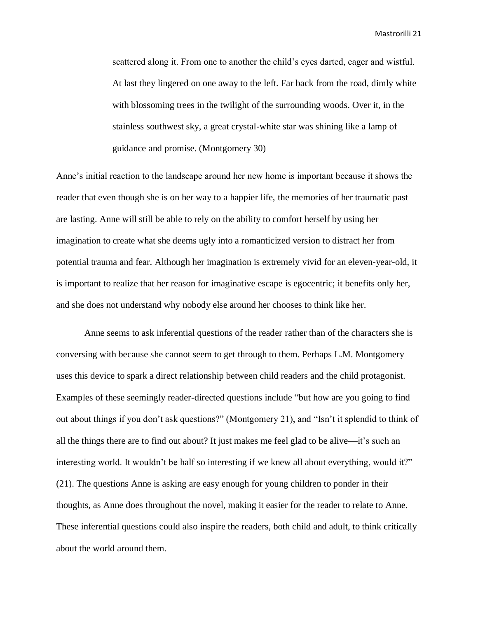scattered along it. From one to another the child's eyes darted, eager and wistful. At last they lingered on one away to the left. Far back from the road, dimly white with blossoming trees in the twilight of the surrounding woods. Over it, in the stainless southwest sky, a great crystal-white star was shining like a lamp of guidance and promise. (Montgomery 30)

Anne's initial reaction to the landscape around her new home is important because it shows the reader that even though she is on her way to a happier life, the memories of her traumatic past are lasting. Anne will still be able to rely on the ability to comfort herself by using her imagination to create what she deems ugly into a romanticized version to distract her from potential trauma and fear. Although her imagination is extremely vivid for an eleven-year-old, it is important to realize that her reason for imaginative escape is egocentric; it benefits only her, and she does not understand why nobody else around her chooses to think like her.

Anne seems to ask inferential questions of the reader rather than of the characters she is conversing with because she cannot seem to get through to them. Perhaps L.M. Montgomery uses this device to spark a direct relationship between child readers and the child protagonist. Examples of these seemingly reader-directed questions include "but how are you going to find out about things if you don't ask questions?" (Montgomery 21), and "Isn't it splendid to think of all the things there are to find out about? It just makes me feel glad to be alive—it's such an interesting world. It wouldn't be half so interesting if we knew all about everything, would it?" (21). The questions Anne is asking are easy enough for young children to ponder in their thoughts, as Anne does throughout the novel, making it easier for the reader to relate to Anne. These inferential questions could also inspire the readers, both child and adult, to think critically about the world around them.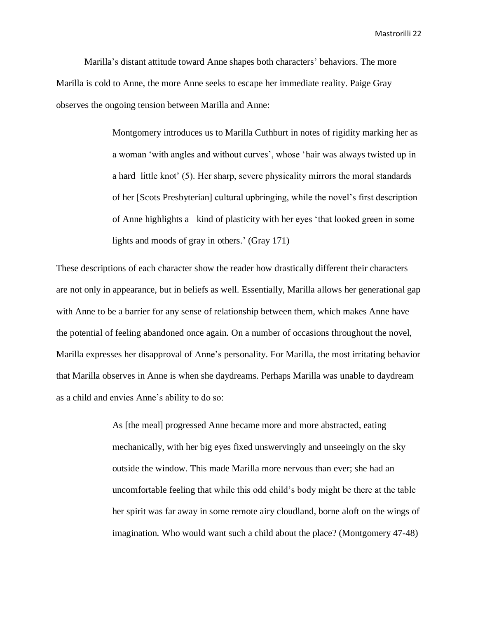Marilla's distant attitude toward Anne shapes both characters' behaviors. The more Marilla is cold to Anne, the more Anne seeks to escape her immediate reality. Paige Gray observes the ongoing tension between Marilla and Anne:

> Montgomery introduces us to Marilla Cuthburt in notes of rigidity marking her as a woman 'with angles and without curves', whose 'hair was always twisted up in a hard little knot' (5). Her sharp, severe physicality mirrors the moral standards of her [Scots Presbyterian] cultural upbringing, while the novel's first description of Anne highlights a kind of plasticity with her eyes 'that looked green in some lights and moods of gray in others.' (Gray 171)

These descriptions of each character show the reader how drastically different their characters are not only in appearance, but in beliefs as well. Essentially, Marilla allows her generational gap with Anne to be a barrier for any sense of relationship between them, which makes Anne have the potential of feeling abandoned once again. On a number of occasions throughout the novel, Marilla expresses her disapproval of Anne's personality. For Marilla, the most irritating behavior that Marilla observes in Anne is when she daydreams. Perhaps Marilla was unable to daydream as a child and envies Anne's ability to do so:

> As [the meal] progressed Anne became more and more abstracted, eating mechanically, with her big eyes fixed unswervingly and unseeingly on the sky outside the window. This made Marilla more nervous than ever; she had an uncomfortable feeling that while this odd child's body might be there at the table her spirit was far away in some remote airy cloudland, borne aloft on the wings of imagination. Who would want such a child about the place? (Montgomery 47-48)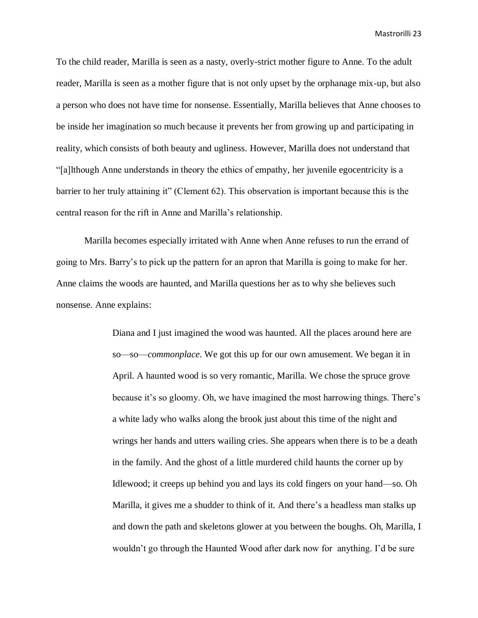To the child reader, Marilla is seen as a nasty, overly-strict mother figure to Anne. To the adult reader, Marilla is seen as a mother figure that is not only upset by the orphanage mix-up, but also a person who does not have time for nonsense. Essentially, Marilla believes that Anne chooses to be inside her imagination so much because it prevents her from growing up and participating in reality, which consists of both beauty and ugliness. However, Marilla does not understand that "[a]lthough Anne understands in theory the ethics of empathy, her juvenile egocentricity is a barrier to her truly attaining it" (Clement 62). This observation is important because this is the central reason for the rift in Anne and Marilla's relationship.

Marilla becomes especially irritated with Anne when Anne refuses to run the errand of going to Mrs. Barry's to pick up the pattern for an apron that Marilla is going to make for her. Anne claims the woods are haunted, and Marilla questions her as to why she believes such nonsense. Anne explains:

> Diana and I just imagined the wood was haunted. All the places around here are so—so—*commonplace*. We got this up for our own amusement. We began it in April. A haunted wood is so very romantic, Marilla. We chose the spruce grove because it's so gloomy. Oh, we have imagined the most harrowing things. There's a white lady who walks along the brook just about this time of the night and wrings her hands and utters wailing cries. She appears when there is to be a death in the family. And the ghost of a little murdered child haunts the corner up by Idlewood; it creeps up behind you and lays its cold fingers on your hand—so. Oh Marilla, it gives me a shudder to think of it. And there's a headless man stalks up and down the path and skeletons glower at you between the boughs. Oh, Marilla, I wouldn't go through the Haunted Wood after dark now for anything. I'd be sure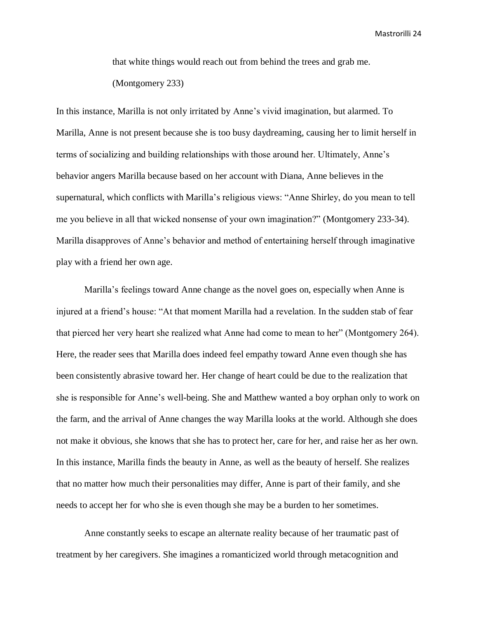that white things would reach out from behind the trees and grab me.

(Montgomery 233)

In this instance, Marilla is not only irritated by Anne's vivid imagination, but alarmed. To Marilla, Anne is not present because she is too busy daydreaming, causing her to limit herself in terms of socializing and building relationships with those around her. Ultimately, Anne's behavior angers Marilla because based on her account with Diana, Anne believes in the supernatural, which conflicts with Marilla's religious views: "Anne Shirley, do you mean to tell me you believe in all that wicked nonsense of your own imagination?" (Montgomery 233-34). Marilla disapproves of Anne's behavior and method of entertaining herself through imaginative play with a friend her own age.

Marilla's feelings toward Anne change as the novel goes on, especially when Anne is injured at a friend's house: "At that moment Marilla had a revelation. In the sudden stab of fear that pierced her very heart she realized what Anne had come to mean to her" (Montgomery 264). Here, the reader sees that Marilla does indeed feel empathy toward Anne even though she has been consistently abrasive toward her. Her change of heart could be due to the realization that she is responsible for Anne's well-being. She and Matthew wanted a boy orphan only to work on the farm, and the arrival of Anne changes the way Marilla looks at the world. Although she does not make it obvious, she knows that she has to protect her, care for her, and raise her as her own. In this instance, Marilla finds the beauty in Anne, as well as the beauty of herself. She realizes that no matter how much their personalities may differ, Anne is part of their family, and she needs to accept her for who she is even though she may be a burden to her sometimes.

Anne constantly seeks to escape an alternate reality because of her traumatic past of treatment by her caregivers. She imagines a romanticized world through metacognition and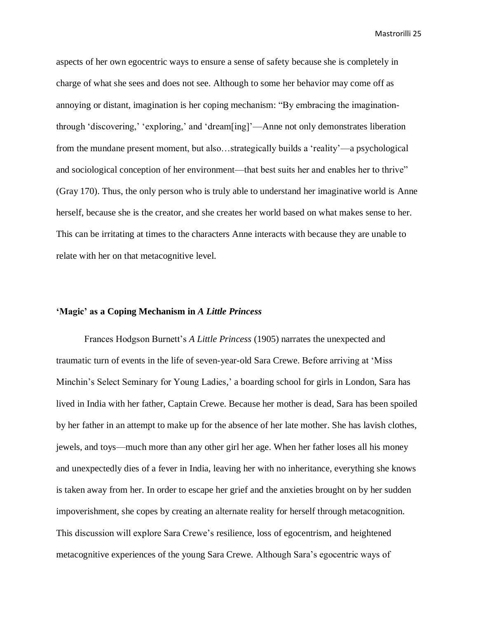aspects of her own egocentric ways to ensure a sense of safety because she is completely in charge of what she sees and does not see. Although to some her behavior may come off as annoying or distant, imagination is her coping mechanism: "By embracing the imaginationthrough 'discovering,' 'exploring,' and 'dream[ing]'—Anne not only demonstrates liberation from the mundane present moment, but also…strategically builds a 'reality'—a psychological and sociological conception of her environment—that best suits her and enables her to thrive" (Gray 170). Thus, the only person who is truly able to understand her imaginative world is Anne herself, because she is the creator, and she creates her world based on what makes sense to her. This can be irritating at times to the characters Anne interacts with because they are unable to relate with her on that metacognitive level.

# **'Magic' as a Coping Mechanism in** *A Little Princess*

Frances Hodgson Burnett's *A Little Princess* (1905) narrates the unexpected and traumatic turn of events in the life of seven-year-old Sara Crewe. Before arriving at 'Miss Minchin's Select Seminary for Young Ladies,' a boarding school for girls in London, Sara has lived in India with her father, Captain Crewe. Because her mother is dead, Sara has been spoiled by her father in an attempt to make up for the absence of her late mother. She has lavish clothes, jewels, and toys—much more than any other girl her age. When her father loses all his money and unexpectedly dies of a fever in India, leaving her with no inheritance, everything she knows is taken away from her. In order to escape her grief and the anxieties brought on by her sudden impoverishment, she copes by creating an alternate reality for herself through metacognition. This discussion will explore Sara Crewe's resilience, loss of egocentrism, and heightened metacognitive experiences of the young Sara Crewe. Although Sara's egocentric ways of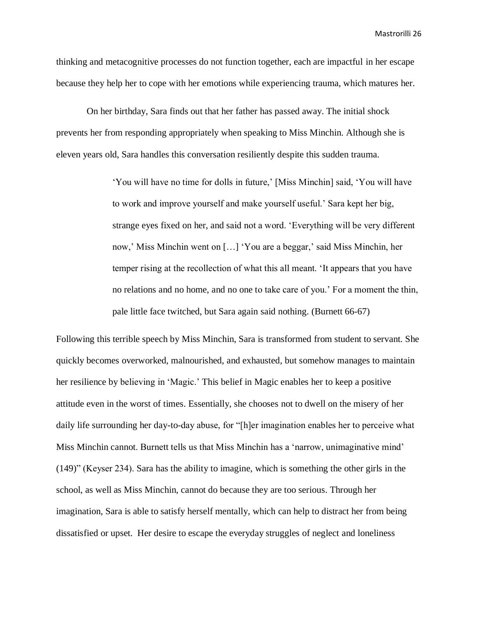thinking and metacognitive processes do not function together, each are impactful in her escape because they help her to cope with her emotions while experiencing trauma, which matures her.

On her birthday, Sara finds out that her father has passed away. The initial shock prevents her from responding appropriately when speaking to Miss Minchin. Although she is eleven years old, Sara handles this conversation resiliently despite this sudden trauma.

> 'You will have no time for dolls in future,' [Miss Minchin] said, 'You will have to work and improve yourself and make yourself useful.' Sara kept her big, strange eyes fixed on her, and said not a word. 'Everything will be very different now,' Miss Minchin went on […] 'You are a beggar,' said Miss Minchin, her temper rising at the recollection of what this all meant. 'It appears that you have no relations and no home, and no one to take care of you.' For a moment the thin, pale little face twitched, but Sara again said nothing. (Burnett 66-67)

Following this terrible speech by Miss Minchin, Sara is transformed from student to servant. She quickly becomes overworked, malnourished, and exhausted, but somehow manages to maintain her resilience by believing in 'Magic.' This belief in Magic enables her to keep a positive attitude even in the worst of times. Essentially, she chooses not to dwell on the misery of her daily life surrounding her day-to-day abuse, for "[h]er imagination enables her to perceive what Miss Minchin cannot. Burnett tells us that Miss Minchin has a 'narrow, unimaginative mind' (149)" (Keyser 234). Sara has the ability to imagine, which is something the other girls in the school, as well as Miss Minchin, cannot do because they are too serious. Through her imagination, Sara is able to satisfy herself mentally, which can help to distract her from being dissatisfied or upset. Her desire to escape the everyday struggles of neglect and loneliness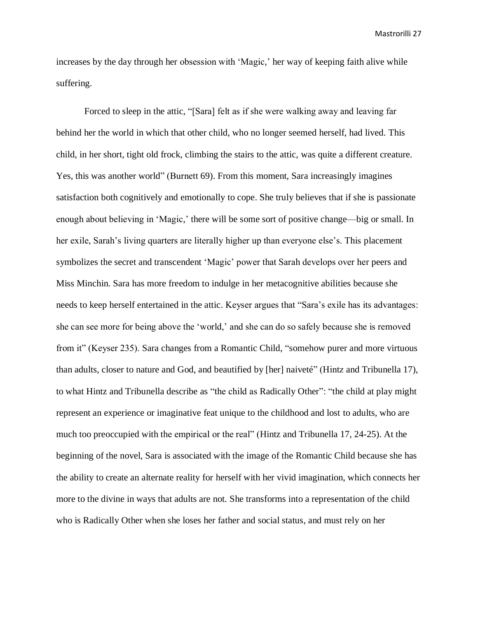increases by the day through her obsession with 'Magic,' her way of keeping faith alive while suffering.

Forced to sleep in the attic, "[Sara] felt as if she were walking away and leaving far behind her the world in which that other child, who no longer seemed herself, had lived. This child, in her short, tight old frock, climbing the stairs to the attic, was quite a different creature. Yes, this was another world" (Burnett 69). From this moment, Sara increasingly imagines satisfaction both cognitively and emotionally to cope. She truly believes that if she is passionate enough about believing in 'Magic,' there will be some sort of positive change—big or small. In her exile, Sarah's living quarters are literally higher up than everyone else's. This placement symbolizes the secret and transcendent 'Magic' power that Sarah develops over her peers and Miss Minchin. Sara has more freedom to indulge in her metacognitive abilities because she needs to keep herself entertained in the attic. Keyser argues that "Sara's exile has its advantages: she can see more for being above the 'world,' and she can do so safely because she is removed from it" (Keyser 235). Sara changes from a Romantic Child, "somehow purer and more virtuous than adults, closer to nature and God, and beautified by [her] naiveté" (Hintz and Tribunella 17), to what Hintz and Tribunella describe as "the child as Radically Other": "the child at play might represent an experience or imaginative feat unique to the childhood and lost to adults, who are much too preoccupied with the empirical or the real" (Hintz and Tribunella 17, 24-25). At the beginning of the novel, Sara is associated with the image of the Romantic Child because she has the ability to create an alternate reality for herself with her vivid imagination, which connects her more to the divine in ways that adults are not. She transforms into a representation of the child who is Radically Other when she loses her father and social status, and must rely on her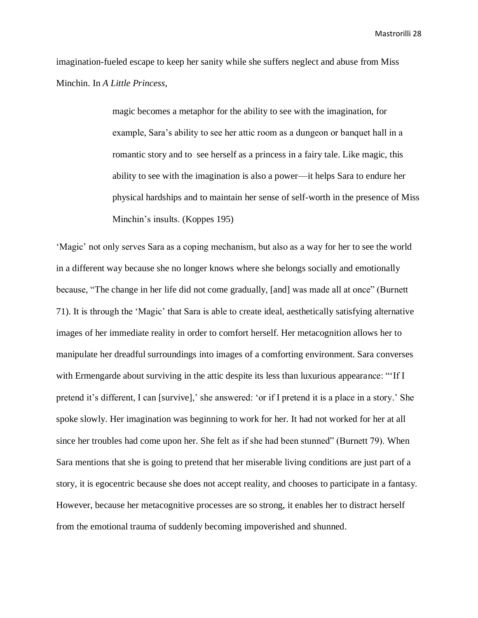imagination-fueled escape to keep her sanity while she suffers neglect and abuse from Miss Minchin. In *A Little Princess*,

> magic becomes a metaphor for the ability to see with the imagination, for example, Sara's ability to see her attic room as a dungeon or banquet hall in a romantic story and to see herself as a princess in a fairy tale. Like magic, this ability to see with the imagination is also a power—it helps Sara to endure her physical hardships and to maintain her sense of self-worth in the presence of Miss Minchin's insults. (Koppes 195)

'Magic' not only serves Sara as a coping mechanism, but also as a way for her to see the world in a different way because she no longer knows where she belongs socially and emotionally because, "The change in her life did not come gradually, [and] was made all at once" (Burnett 71). It is through the 'Magic' that Sara is able to create ideal, aesthetically satisfying alternative images of her immediate reality in order to comfort herself. Her metacognition allows her to manipulate her dreadful surroundings into images of a comforting environment. Sara converses with Ermengarde about surviving in the attic despite its less than luxurious appearance: "'If I pretend it's different, I can [survive],' she answered: 'or if I pretend it is a place in a story.' She spoke slowly. Her imagination was beginning to work for her. It had not worked for her at all since her troubles had come upon her. She felt as if she had been stunned" (Burnett 79). When Sara mentions that she is going to pretend that her miserable living conditions are just part of a story, it is egocentric because she does not accept reality, and chooses to participate in a fantasy. However, because her metacognitive processes are so strong, it enables her to distract herself from the emotional trauma of suddenly becoming impoverished and shunned.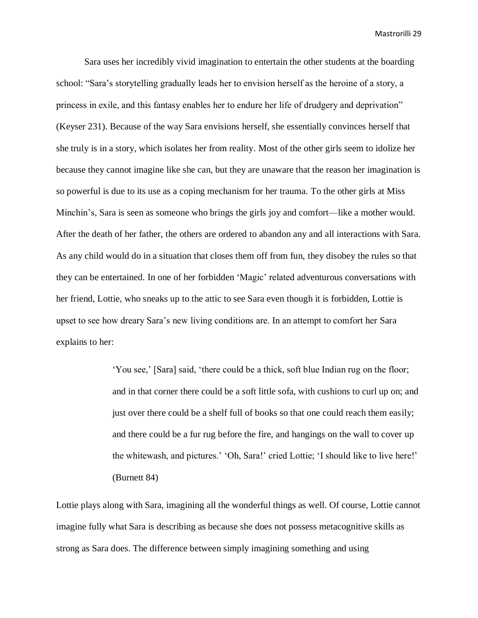Sara uses her incredibly vivid imagination to entertain the other students at the boarding school: "Sara's storytelling gradually leads her to envision herself as the heroine of a story, a princess in exile, and this fantasy enables her to endure her life of drudgery and deprivation" (Keyser 231). Because of the way Sara envisions herself, she essentially convinces herself that she truly is in a story, which isolates her from reality. Most of the other girls seem to idolize her because they cannot imagine like she can, but they are unaware that the reason her imagination is so powerful is due to its use as a coping mechanism for her trauma. To the other girls at Miss Minchin's, Sara is seen as someone who brings the girls joy and comfort—like a mother would. After the death of her father, the others are ordered to abandon any and all interactions with Sara. As any child would do in a situation that closes them off from fun, they disobey the rules so that they can be entertained. In one of her forbidden 'Magic' related adventurous conversations with her friend, Lottie, who sneaks up to the attic to see Sara even though it is forbidden, Lottie is upset to see how dreary Sara's new living conditions are. In an attempt to comfort her Sara explains to her:

> 'You see,' [Sara] said, 'there could be a thick, soft blue Indian rug on the floor; and in that corner there could be a soft little sofa, with cushions to curl up on; and just over there could be a shelf full of books so that one could reach them easily; and there could be a fur rug before the fire, and hangings on the wall to cover up the whitewash, and pictures.' 'Oh, Sara!' cried Lottie; 'I should like to live here!' (Burnett 84)

Lottie plays along with Sara, imagining all the wonderful things as well. Of course, Lottie cannot imagine fully what Sara is describing as because she does not possess metacognitive skills as strong as Sara does. The difference between simply imagining something and using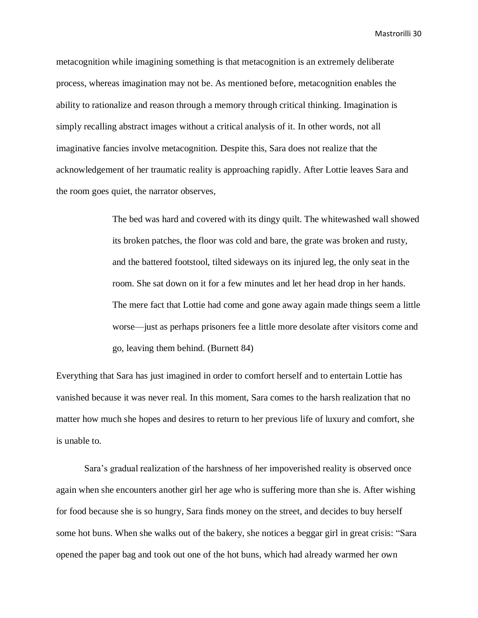metacognition while imagining something is that metacognition is an extremely deliberate process, whereas imagination may not be. As mentioned before, metacognition enables the ability to rationalize and reason through a memory through critical thinking. Imagination is simply recalling abstract images without a critical analysis of it. In other words, not all imaginative fancies involve metacognition. Despite this, Sara does not realize that the acknowledgement of her traumatic reality is approaching rapidly. After Lottie leaves Sara and the room goes quiet, the narrator observes,

> The bed was hard and covered with its dingy quilt. The whitewashed wall showed its broken patches, the floor was cold and bare, the grate was broken and rusty, and the battered footstool, tilted sideways on its injured leg, the only seat in the room. She sat down on it for a few minutes and let her head drop in her hands. The mere fact that Lottie had come and gone away again made things seem a little worse—just as perhaps prisoners fee a little more desolate after visitors come and go, leaving them behind. (Burnett 84)

Everything that Sara has just imagined in order to comfort herself and to entertain Lottie has vanished because it was never real. In this moment, Sara comes to the harsh realization that no matter how much she hopes and desires to return to her previous life of luxury and comfort, she is unable to.

Sara's gradual realization of the harshness of her impoverished reality is observed once again when she encounters another girl her age who is suffering more than she is. After wishing for food because she is so hungry, Sara finds money on the street, and decides to buy herself some hot buns. When she walks out of the bakery, she notices a beggar girl in great crisis: "Sara opened the paper bag and took out one of the hot buns, which had already warmed her own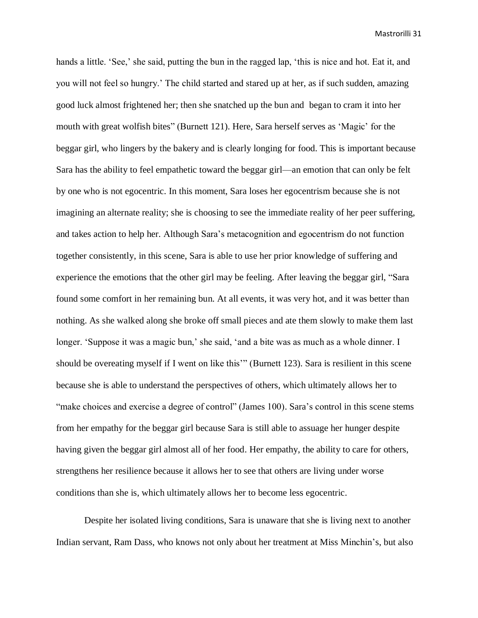hands a little. 'See,' she said, putting the bun in the ragged lap, 'this is nice and hot. Eat it, and you will not feel so hungry.' The child started and stared up at her, as if such sudden, amazing good luck almost frightened her; then she snatched up the bun and began to cram it into her mouth with great wolfish bites" (Burnett 121). Here, Sara herself serves as 'Magic' for the beggar girl, who lingers by the bakery and is clearly longing for food. This is important because Sara has the ability to feel empathetic toward the beggar girl—an emotion that can only be felt by one who is not egocentric. In this moment, Sara loses her egocentrism because she is not imagining an alternate reality; she is choosing to see the immediate reality of her peer suffering, and takes action to help her. Although Sara's metacognition and egocentrism do not function together consistently, in this scene, Sara is able to use her prior knowledge of suffering and experience the emotions that the other girl may be feeling. After leaving the beggar girl, "Sara found some comfort in her remaining bun. At all events, it was very hot, and it was better than nothing. As she walked along she broke off small pieces and ate them slowly to make them last longer. 'Suppose it was a magic bun,' she said, 'and a bite was as much as a whole dinner. I should be overeating myself if I went on like this'" (Burnett 123). Sara is resilient in this scene because she is able to understand the perspectives of others, which ultimately allows her to "make choices and exercise a degree of control" (James 100). Sara's control in this scene stems from her empathy for the beggar girl because Sara is still able to assuage her hunger despite having given the beggar girl almost all of her food. Her empathy, the ability to care for others, strengthens her resilience because it allows her to see that others are living under worse conditions than she is, which ultimately allows her to become less egocentric.

Despite her isolated living conditions, Sara is unaware that she is living next to another Indian servant, Ram Dass, who knows not only about her treatment at Miss Minchin's, but also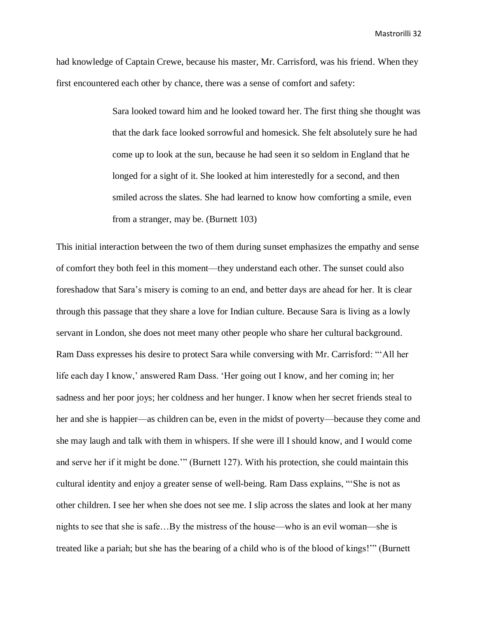had knowledge of Captain Crewe, because his master, Mr. Carrisford, was his friend. When they first encountered each other by chance, there was a sense of comfort and safety:

> Sara looked toward him and he looked toward her. The first thing she thought was that the dark face looked sorrowful and homesick. She felt absolutely sure he had come up to look at the sun, because he had seen it so seldom in England that he longed for a sight of it. She looked at him interestedly for a second, and then smiled across the slates. She had learned to know how comforting a smile, even from a stranger, may be. (Burnett 103)

This initial interaction between the two of them during sunset emphasizes the empathy and sense of comfort they both feel in this moment—they understand each other. The sunset could also foreshadow that Sara's misery is coming to an end, and better days are ahead for her. It is clear through this passage that they share a love for Indian culture. Because Sara is living as a lowly servant in London, she does not meet many other people who share her cultural background. Ram Dass expresses his desire to protect Sara while conversing with Mr. Carrisford: "'All her life each day I know,' answered Ram Dass. 'Her going out I know, and her coming in; her sadness and her poor joys; her coldness and her hunger. I know when her secret friends steal to her and she is happier—as children can be, even in the midst of poverty—because they come and she may laugh and talk with them in whispers. If she were ill I should know, and I would come and serve her if it might be done.'" (Burnett 127). With his protection, she could maintain this cultural identity and enjoy a greater sense of well-being. Ram Dass explains, "'She is not as other children. I see her when she does not see me. I slip across the slates and look at her many nights to see that she is safe…By the mistress of the house—who is an evil woman—she is treated like a pariah; but she has the bearing of a child who is of the blood of kings!'" (Burnett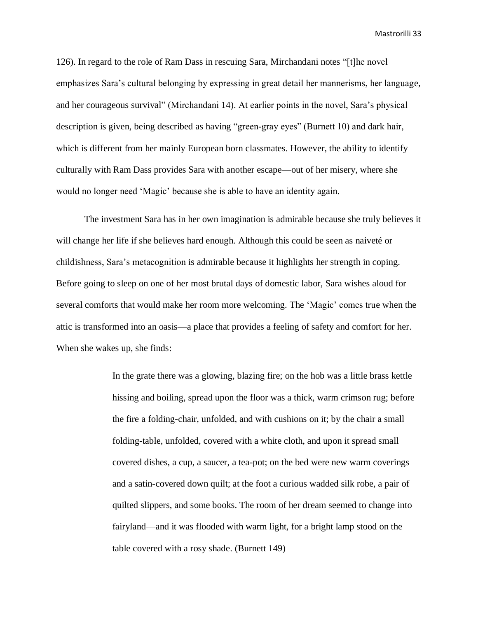126). In regard to the role of Ram Dass in rescuing Sara, Mirchandani notes "[t]he novel emphasizes Sara's cultural belonging by expressing in great detail her mannerisms, her language, and her courageous survival" (Mirchandani 14). At earlier points in the novel, Sara's physical description is given, being described as having "green-gray eyes" (Burnett 10) and dark hair, which is different from her mainly European born classmates. However, the ability to identify culturally with Ram Dass provides Sara with another escape—out of her misery, where she would no longer need 'Magic' because she is able to have an identity again.

The investment Sara has in her own imagination is admirable because she truly believes it will change her life if she believes hard enough. Although this could be seen as naiveté or childishness, Sara's metacognition is admirable because it highlights her strength in coping. Before going to sleep on one of her most brutal days of domestic labor, Sara wishes aloud for several comforts that would make her room more welcoming. The 'Magic' comes true when the attic is transformed into an oasis—a place that provides a feeling of safety and comfort for her. When she wakes up, she finds:

> In the grate there was a glowing, blazing fire; on the hob was a little brass kettle hissing and boiling, spread upon the floor was a thick, warm crimson rug; before the fire a folding-chair, unfolded, and with cushions on it; by the chair a small folding-table, unfolded, covered with a white cloth, and upon it spread small covered dishes, a cup, a saucer, a tea-pot; on the bed were new warm coverings and a satin-covered down quilt; at the foot a curious wadded silk robe, a pair of quilted slippers, and some books. The room of her dream seemed to change into fairyland—and it was flooded with warm light, for a bright lamp stood on the table covered with a rosy shade. (Burnett 149)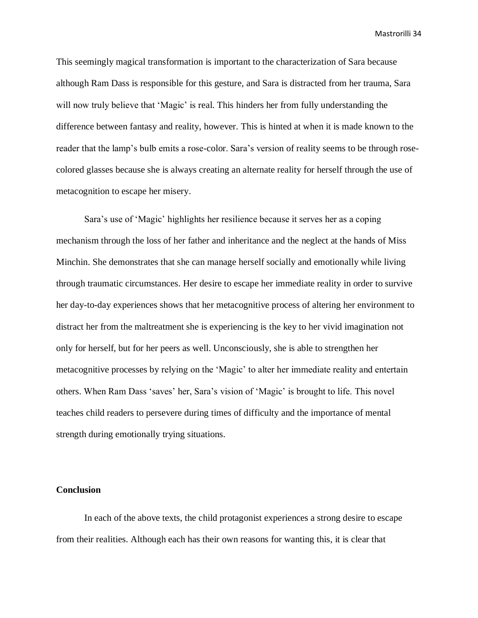This seemingly magical transformation is important to the characterization of Sara because although Ram Dass is responsible for this gesture, and Sara is distracted from her trauma, Sara will now truly believe that 'Magic' is real. This hinders her from fully understanding the difference between fantasy and reality, however. This is hinted at when it is made known to the reader that the lamp's bulb emits a rose-color. Sara's version of reality seems to be through rosecolored glasses because she is always creating an alternate reality for herself through the use of metacognition to escape her misery.

Sara's use of 'Magic' highlights her resilience because it serves her as a coping mechanism through the loss of her father and inheritance and the neglect at the hands of Miss Minchin. She demonstrates that she can manage herself socially and emotionally while living through traumatic circumstances. Her desire to escape her immediate reality in order to survive her day-to-day experiences shows that her metacognitive process of altering her environment to distract her from the maltreatment she is experiencing is the key to her vivid imagination not only for herself, but for her peers as well. Unconsciously, she is able to strengthen her metacognitive processes by relying on the 'Magic' to alter her immediate reality and entertain others. When Ram Dass 'saves' her, Sara's vision of 'Magic' is brought to life. This novel teaches child readers to persevere during times of difficulty and the importance of mental strength during emotionally trying situations.

# **Conclusion**

In each of the above texts, the child protagonist experiences a strong desire to escape from their realities. Although each has their own reasons for wanting this, it is clear that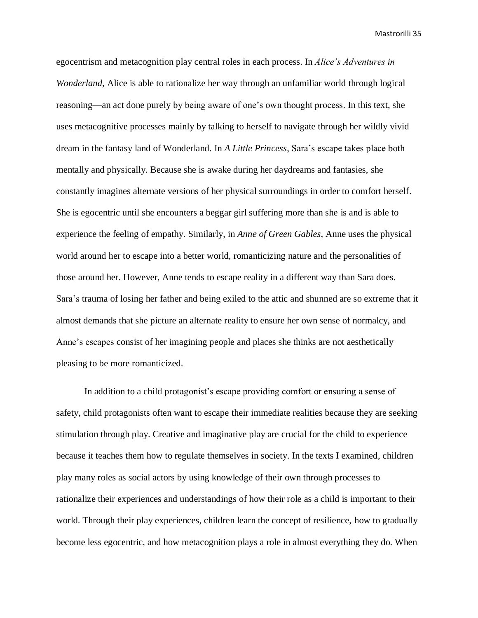egocentrism and metacognition play central roles in each process. In *Alice's Adventures in Wonderland*, Alice is able to rationalize her way through an unfamiliar world through logical reasoning—an act done purely by being aware of one's own thought process. In this text, she uses metacognitive processes mainly by talking to herself to navigate through her wildly vivid dream in the fantasy land of Wonderland. In *A Little Princess*, Sara's escape takes place both mentally and physically. Because she is awake during her daydreams and fantasies, she constantly imagines alternate versions of her physical surroundings in order to comfort herself. She is egocentric until she encounters a beggar girl suffering more than she is and is able to experience the feeling of empathy. Similarly, in *Anne of Green Gables*, Anne uses the physical world around her to escape into a better world, romanticizing nature and the personalities of those around her. However, Anne tends to escape reality in a different way than Sara does. Sara's trauma of losing her father and being exiled to the attic and shunned are so extreme that it almost demands that she picture an alternate reality to ensure her own sense of normalcy, and Anne's escapes consist of her imagining people and places she thinks are not aesthetically pleasing to be more romanticized.

In addition to a child protagonist's escape providing comfort or ensuring a sense of safety, child protagonists often want to escape their immediate realities because they are seeking stimulation through play. Creative and imaginative play are crucial for the child to experience because it teaches them how to regulate themselves in society. In the texts I examined, children play many roles as social actors by using knowledge of their own through processes to rationalize their experiences and understandings of how their role as a child is important to their world. Through their play experiences, children learn the concept of resilience, how to gradually become less egocentric, and how metacognition plays a role in almost everything they do. When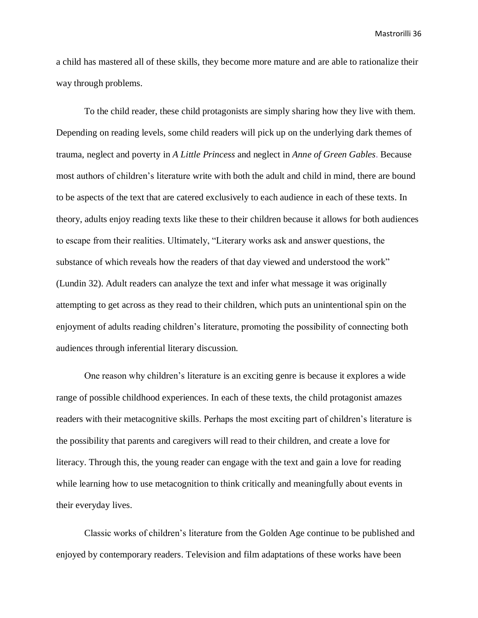a child has mastered all of these skills, they become more mature and are able to rationalize their way through problems.

To the child reader, these child protagonists are simply sharing how they live with them. Depending on reading levels, some child readers will pick up on the underlying dark themes of trauma, neglect and poverty in *A Little Princess* and neglect in *Anne of Green Gables*. Because most authors of children's literature write with both the adult and child in mind, there are bound to be aspects of the text that are catered exclusively to each audience in each of these texts. In theory, adults enjoy reading texts like these to their children because it allows for both audiences to escape from their realities. Ultimately, "Literary works ask and answer questions, the substance of which reveals how the readers of that day viewed and understood the work" (Lundin 32). Adult readers can analyze the text and infer what message it was originally attempting to get across as they read to their children, which puts an unintentional spin on the enjoyment of adults reading children's literature, promoting the possibility of connecting both audiences through inferential literary discussion.

One reason why children's literature is an exciting genre is because it explores a wide range of possible childhood experiences. In each of these texts, the child protagonist amazes readers with their metacognitive skills. Perhaps the most exciting part of children's literature is the possibility that parents and caregivers will read to their children, and create a love for literacy. Through this, the young reader can engage with the text and gain a love for reading while learning how to use metacognition to think critically and meaningfully about events in their everyday lives.

Classic works of children's literature from the Golden Age continue to be published and enjoyed by contemporary readers. Television and film adaptations of these works have been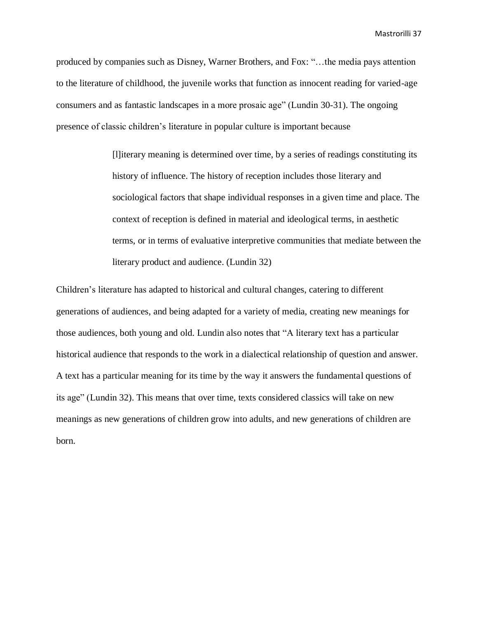produced by companies such as Disney, Warner Brothers, and Fox: "…the media pays attention to the literature of childhood, the juvenile works that function as innocent reading for varied-age consumers and as fantastic landscapes in a more prosaic age" (Lundin 30-31). The ongoing presence of classic children's literature in popular culture is important because

> [l]iterary meaning is determined over time, by a series of readings constituting its history of influence. The history of reception includes those literary and sociological factors that shape individual responses in a given time and place. The context of reception is defined in material and ideological terms, in aesthetic terms, or in terms of evaluative interpretive communities that mediate between the literary product and audience. (Lundin 32)

Children's literature has adapted to historical and cultural changes, catering to different generations of audiences, and being adapted for a variety of media, creating new meanings for those audiences, both young and old. Lundin also notes that "A literary text has a particular historical audience that responds to the work in a dialectical relationship of question and answer. A text has a particular meaning for its time by the way it answers the fundamental questions of its age" (Lundin 32). This means that over time, texts considered classics will take on new meanings as new generations of children grow into adults, and new generations of children are born.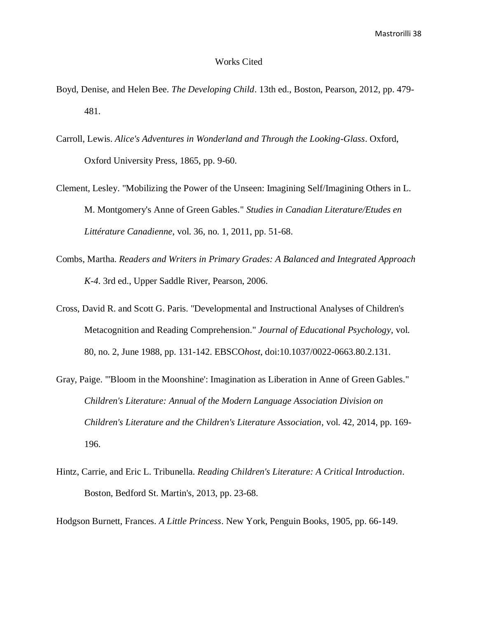#### Works Cited

- Boyd, Denise, and Helen Bee. *The Developing Child*. 13th ed., Boston, Pearson, 2012, pp. 479- 481.
- Carroll, Lewis. *Alice's Adventures in Wonderland and Through the Looking-Glass*. Oxford, Oxford University Press, 1865, pp. 9-60.
- Clement, Lesley. "Mobilizing the Power of the Unseen: Imagining Self/Imagining Others in L. M. Montgomery's Anne of Green Gables." *Studies in Canadian Literature/Etudes en Littérature Canadienne*, vol. 36, no. 1, 2011, pp. 51-68.
- Combs, Martha. *Readers and Writers in Primary Grades: A Balanced and Integrated Approach K-4*. 3rd ed., Upper Saddle River, Pearson, 2006.
- Cross, David R. and Scott G. Paris. "Developmental and Instructional Analyses of Children's Metacognition and Reading Comprehension." *Journal of Educational Psychology*, vol. 80, no. 2, June 1988, pp. 131-142. EBSCO*host*, doi:10.1037/0022-0663.80.2.131.
- Gray, Paige. "'Bloom in the Moonshine': Imagination as Liberation in Anne of Green Gables." *Children's Literature: Annual of the Modern Language Association Division on Children's Literature and the Children's Literature Association*, vol. 42, 2014, pp. 169- 196.
- Hintz, Carrie, and Eric L. Tribunella. *Reading Children's Literature: A Critical Introduction*. Boston, Bedford St. Martin's, 2013, pp. 23-68.

Hodgson Burnett, Frances. *A Little Princess*. New York, Penguin Books, 1905, pp. 66-149.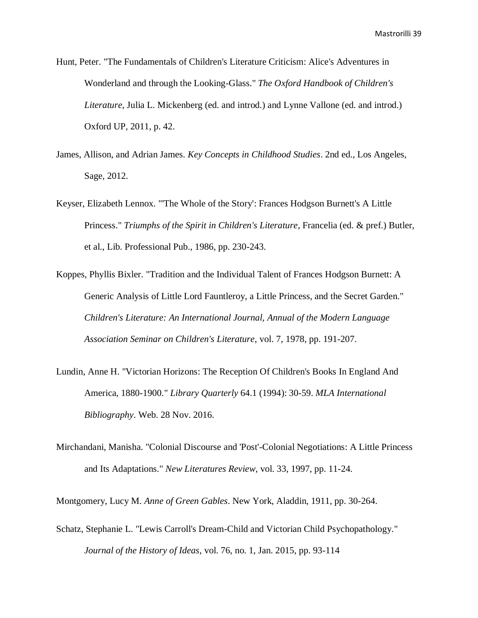- Hunt, Peter. "The Fundamentals of Children's Literature Criticism: Alice's Adventures in Wonderland and through the Looking-Glass." *The Oxford Handbook of Children's Literature*, Julia L. Mickenberg (ed. and introd.) and Lynne Vallone (ed. and introd.) Oxford UP, 2011, p. 42.
- James, Allison, and Adrian James. *Key Concepts in Childhood Studies*. 2nd ed., Los Angeles, Sage, 2012.
- Keyser, Elizabeth Lennox. "'The Whole of the Story': Frances Hodgson Burnett's A Little Princess." *Triumphs of the Spirit in Children's Literature*, Francelia (ed. & pref.) Butler, et al., Lib. Professional Pub., 1986, pp. 230-243.
- Koppes, Phyllis Bixler. "Tradition and the Individual Talent of Frances Hodgson Burnett: A Generic Analysis of Little Lord Fauntleroy, a Little Princess, and the Secret Garden." *Children's Literature: An International Journal, Annual of the Modern Language Association Seminar on Children's Literature*, vol. 7, 1978, pp. 191-207.
- Lundin, Anne H. "Victorian Horizons: The Reception Of Children's Books In England And America, 1880-1900." *Library Quarterly* 64.1 (1994): 30-59. *MLA International Bibliography*. Web. 28 Nov. 2016.
- Mirchandani, Manisha. "Colonial Discourse and 'Post'-Colonial Negotiations: A Little Princess and Its Adaptations." *New Literatures Review*, vol. 33, 1997, pp. 11-24.

Montgomery, Lucy M. *Anne of Green Gables*. New York, Aladdin, 1911, pp. 30-264.

Schatz, Stephanie L. "Lewis Carroll's Dream-Child and Victorian Child Psychopathology." *Journal of the History of Ideas*, vol. 76, no. 1, Jan. 2015, pp. 93-114